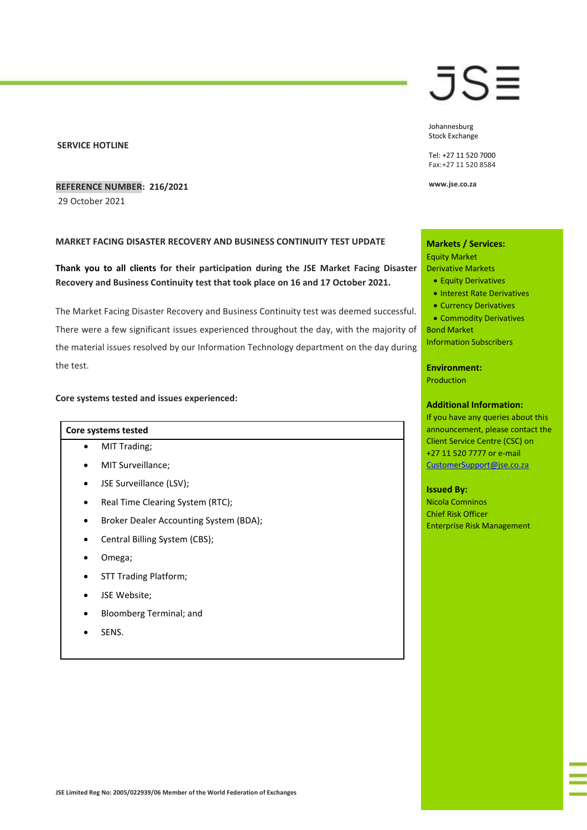### **SERVICE HOTLINE**

# **REFERENCE NUMBER: 216/2021**

29 October 2021

## **MARKET FACING DISASTER RECOVERY AND BUSINESS CONTINUITY TEST UPDATE**

**Thank you to all clients for their participation during the JSE Market Facing Disaster Recovery and Business Continuity test that took place on 16 and 17 October 2021.**

The Market Facing Disaster Recovery and Business Continuity test was deemed successful. There were a few significant issues experienced throughout the day, with the majority of the material issues resolved by our Information Technology department on the day during the test.

## **Core systems tested and issues experienced:**

#### **Core systems tested**

- MIT Trading;
- MIT Surveillance;
- JSE Surveillance (LSV);
- Real Time Clearing System (RTC);
- Broker Dealer Accounting System (BDA);
- Central Billing System (CBS);
- Omega;
- STT Trading Platform;
- JSE Website:
- Bloomberg Terminal; and
- SENS.

# JS≣

Johannesburg Stock Exchange

Tel: +27 11 520 7000 Fax:+27 11 520 8584

**www.jse.co.za**

# **Markets / Services:** Equity Market Derivative Markets

- Equity Derivatives
- Interest Rate Derivatives
- Currency Derivatives
- Commodity Derivatives Bond Market

Information Subscribers

## **Environment:**

Production

# **Additional Information:**

If you have any queries about this announcement, please contact the Client Service Centre (CSC) on +27 11 520 7777 or e-mail [CustomerSupport@jse.co.za](mailto:CustomerSupport@jse.co.za)

#### **Issued By:**

Nicola Comninos Chief Risk Officer Enterprise Risk Management